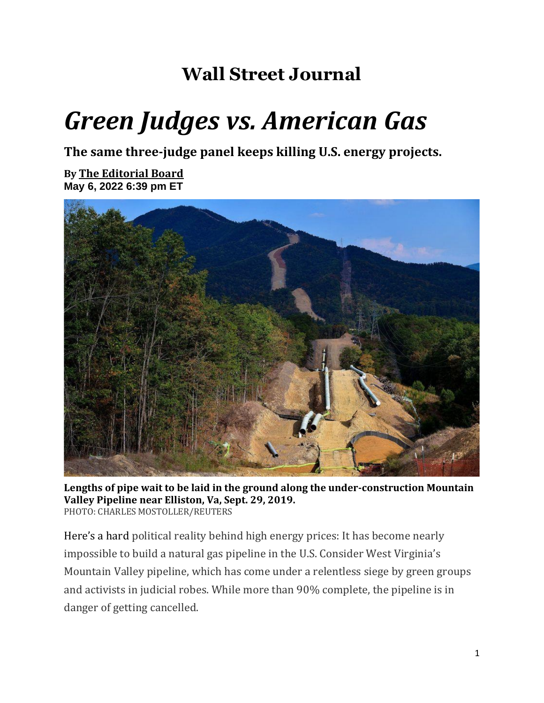## **Wall Street Journal**

## *Green Judges vs. American Gas*

**The same three-judge panel keeps killing U.S. energy projects.**

**By [The Editorial Board](https://www.wsj.com/news/author/editorial-board) May 6, 2022 6:39 pm ET**



**Lengths of pipe wait to be laid in the ground along the under-construction Mountain Valley Pipeline near Elliston, Va, Sept. 29, 2019.** PHOTO: CHARLES MOSTOLLER/REUTERS

Here's a hard political reality behind high energy prices: It has become nearly impossible to build a natural gas pipeline in the U.S. Consider West Virginia's Mountain Valley pipeline, which has come under a relentless siege by green groups and activists in judicial robes. While more than 90% complete, the pipeline is in danger of getting cancelled.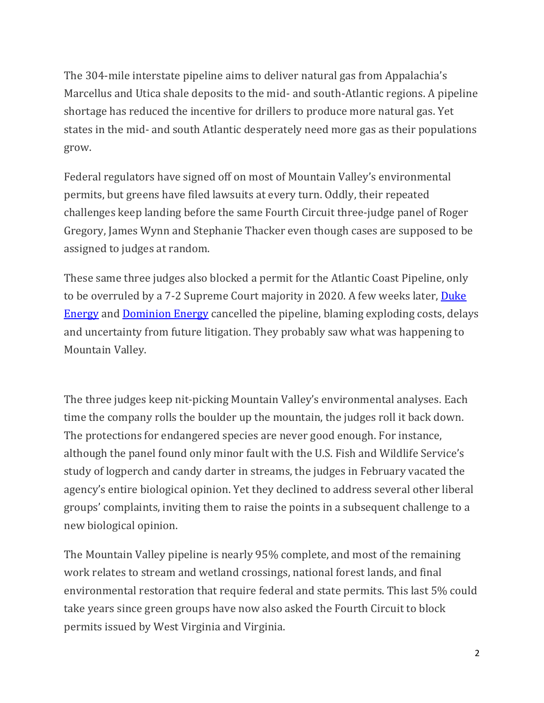The 304-mile interstate pipeline aims to deliver natural gas from Appalachia's Marcellus and Utica shale deposits to the mid- and south-Atlantic regions. A pipeline shortage has reduced the incentive for drillers to produce more natural gas. Yet states in the mid- and south Atlantic desperately need more gas as their populations grow.

Federal regulators have signed off on most of Mountain Valley's environmental permits, but greens have filed lawsuits at every turn. Oddly, their repeated challenges keep landing before the same Fourth Circuit three-judge panel of Roger Gregory, James Wynn and Stephanie Thacker even though cases are supposed to be assigned to judges at random.

These same three judges also blocked a permit for the Atlantic Coast Pipeline, only to be overruled by a 7-2 Supreme Court majority in 2020. A few weeks later, Duke [Energy](https://www.wsj.com/market-data/quotes/DUK) and [Dominion Energy](https://www.wsj.com/market-data/quotes/D) cancelled the pipeline, blaming exploding costs, delays and uncertainty from future litigation. They probably saw what was happening to Mountain Valley.

The three judges keep nit-picking Mountain Valley's environmental analyses. Each time the company rolls the boulder up the mountain, the judges roll it back down. The protections for endangered species are never good enough. For instance, although the panel found only minor fault with the U.S. Fish and Wildlife Service's study of logperch and candy darter in streams, the judges in February vacated the agency's entire biological opinion. Yet they declined to address several other liberal groups' complaints, inviting them to raise the points in a subsequent challenge to a new biological opinion.

The Mountain Valley pipeline is nearly 95% complete, and most of the remaining work relates to stream and wetland crossings, national forest lands, and final environmental restoration that require federal and state permits. This last 5% could take years since green groups have now also asked the Fourth Circuit to block permits issued by West Virginia and Virginia.